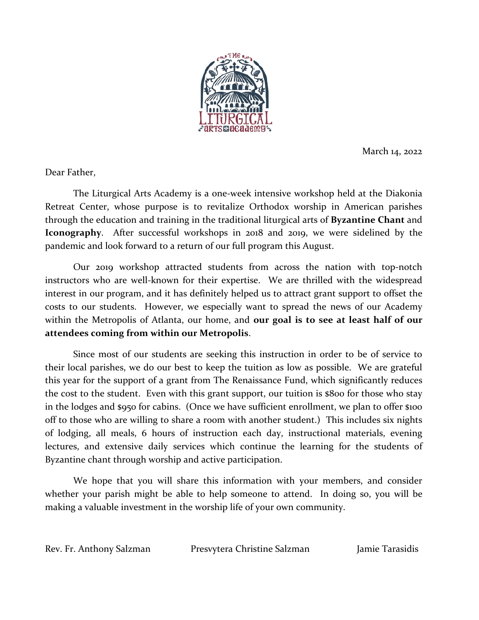

March 14, 2022

Dear Father,

The Liturgical Arts Academy is a one-week intensive workshop held at the Diakonia Retreat Center, whose purpose is to revitalize Orthodox worship in American parishes through the education and training in the traditional liturgical arts of **Byzantine Chant** and **Iconography**. After successful workshops in 2018 and 2019, we were sidelined by the pandemic and look forward to a return of our full program this August.

Our 2019 workshop attracted students from across the nation with top-notch instructors who are well-known for their expertise. We are thrilled with the widespread interest in our program, and it has definitely helped us to attract grant support to offset the costs to our students. However, we especially want to spread the news of our Academy within the Metropolis of Atlanta, our home, and **our goal is to see at least half of our attendees coming from within our Metropolis**.

Since most of our students are seeking this instruction in order to be of service to their local parishes, we do our best to keep the tuition as low as possible. We are grateful this year for the support of a grant from The Renaissance Fund, which significantly reduces the cost to the student. Even with this grant support, our tuition is \$800 for those who stay in the lodges and \$950 for cabins. (Once we have sufficient enrollment, we plan to offer \$100 off to those who are willing to share a room with another student.) This includes six nights of lodging, all meals, 6 hours of instruction each day, instructional materials, evening lectures, and extensive daily services which continue the learning for the students of Byzantine chant through worship and active participation.

We hope that you will share this information with your members, and consider whether your parish might be able to help someone to attend. In doing so, you will be making a valuable investment in the worship life of your own community.

Rev. Fr. Anthony Salzman Presvytera Christine Salzman Jamie Tarasidis